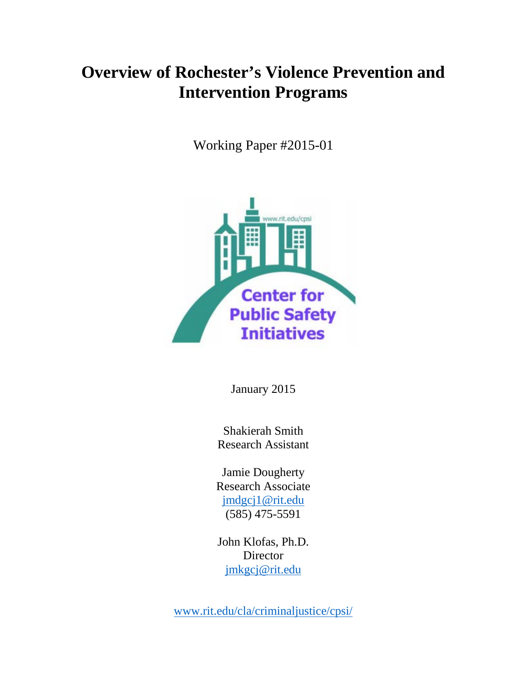# **Overview of Rochester's Violence Prevention and Intervention Programs**

Working Paper #2015-01



January 2015

Shakierah Smith Research Assistant

Jamie Dougherty Research Associate [jmdgcj1@rit.edu](mailto:jmdgcj1@rit.edu) (585) 475-5591

John Klofas, Ph.D. Director [jmkgcj@rit.edu](mailto:jmkgcj@rit.edu)

[www.rit.edu/cla/criminaljustice/cpsi/](http://www.rit.edu/cla/criminaljustice/cpsi/)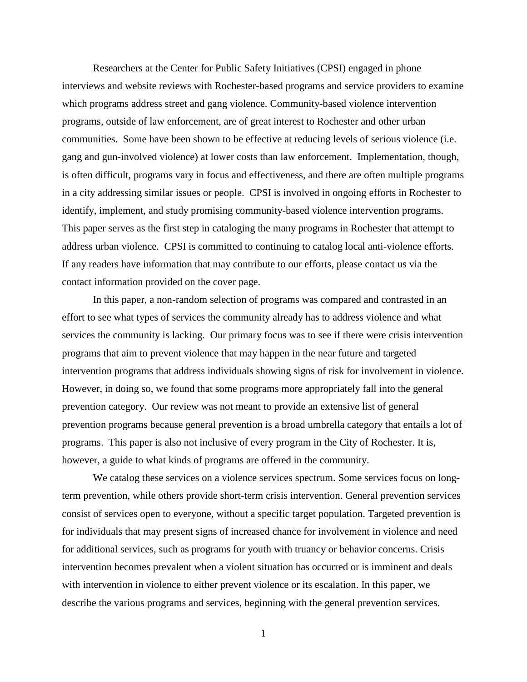Researchers at the Center for Public Safety Initiatives (CPSI) engaged in phone interviews and website reviews with Rochester-based programs and service providers to examine which programs address street and gang violence. Community-based violence intervention programs, outside of law enforcement, are of great interest to Rochester and other urban communities. Some have been shown to be effective at reducing levels of serious violence (i.e. gang and gun-involved violence) at lower costs than law enforcement. Implementation, though, is often difficult, programs vary in focus and effectiveness, and there are often multiple programs in a city addressing similar issues or people. CPSI is involved in ongoing efforts in Rochester to identify, implement, and study promising community-based violence intervention programs. This paper serves as the first step in cataloging the many programs in Rochester that attempt to address urban violence. CPSI is committed to continuing to catalog local anti-violence efforts. If any readers have information that may contribute to our efforts, please contact us via the contact information provided on the cover page.

In this paper, a non-random selection of programs was compared and contrasted in an effort to see what types of services the community already has to address violence and what services the community is lacking. Our primary focus was to see if there were crisis intervention programs that aim to prevent violence that may happen in the near future and targeted intervention programs that address individuals showing signs of risk for involvement in violence. However, in doing so, we found that some programs more appropriately fall into the general prevention category. Our review was not meant to provide an extensive list of general prevention programs because general prevention is a broad umbrella category that entails a lot of programs. This paper is also not inclusive of every program in the City of Rochester. It is, however, a guide to what kinds of programs are offered in the community.

We catalog these services on a violence services spectrum. Some services focus on longterm prevention, while others provide short-term crisis intervention. General prevention services consist of services open to everyone, without a specific target population. Targeted prevention is for individuals that may present signs of increased chance for involvement in violence and need for additional services, such as programs for youth with truancy or behavior concerns. Crisis intervention becomes prevalent when a violent situation has occurred or is imminent and deals with intervention in violence to either prevent violence or its escalation. In this paper, we describe the various programs and services, beginning with the general prevention services.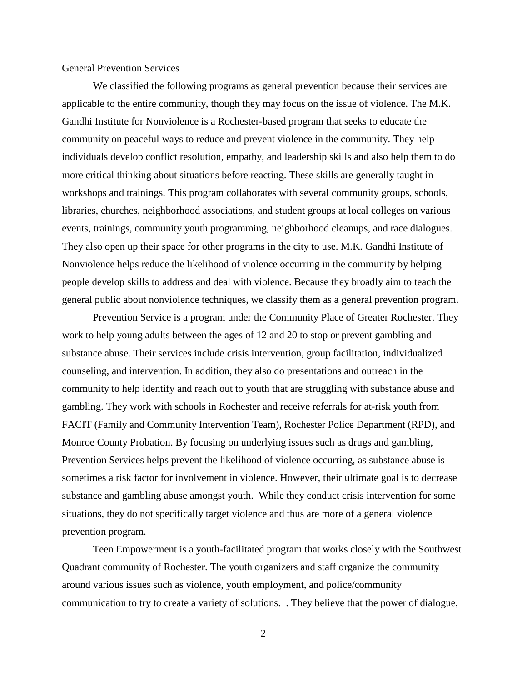### General Prevention Services

We classified the following programs as general prevention because their services are applicable to the entire community, though they may focus on the issue of violence. The M.K. Gandhi Institute for Nonviolence is a Rochester-based program that seeks to educate the community on peaceful ways to reduce and prevent violence in the community. They help individuals develop conflict resolution, empathy, and leadership skills and also help them to do more critical thinking about situations before reacting. These skills are generally taught in workshops and trainings. This program collaborates with several community groups, schools, libraries, churches, neighborhood associations, and student groups at local colleges on various events, trainings, community youth programming, neighborhood cleanups, and race dialogues. They also open up their space for other programs in the city to use. M.K. Gandhi Institute of Nonviolence helps reduce the likelihood of violence occurring in the community by helping people develop skills to address and deal with violence. Because they broadly aim to teach the general public about nonviolence techniques, we classify them as a general prevention program.

Prevention Service is a program under the Community Place of Greater Rochester. They work to help young adults between the ages of 12 and 20 to stop or prevent gambling and substance abuse. Their services include crisis intervention, group facilitation, individualized counseling, and intervention. In addition, they also do presentations and outreach in the community to help identify and reach out to youth that are struggling with substance abuse and gambling. They work with schools in Rochester and receive referrals for at-risk youth from FACIT (Family and Community Intervention Team), Rochester Police Department (RPD), and Monroe County Probation. By focusing on underlying issues such as drugs and gambling, Prevention Services helps prevent the likelihood of violence occurring, as substance abuse is sometimes a risk factor for involvement in violence. However, their ultimate goal is to decrease substance and gambling abuse amongst youth. While they conduct crisis intervention for some situations, they do not specifically target violence and thus are more of a general violence prevention program.

Teen Empowerment is a youth-facilitated program that works closely with the Southwest Quadrant community of Rochester. The youth organizers and staff organize the community around various issues such as violence, youth employment, and police/community communication to try to create a variety of solutions. . They believe that the power of dialogue,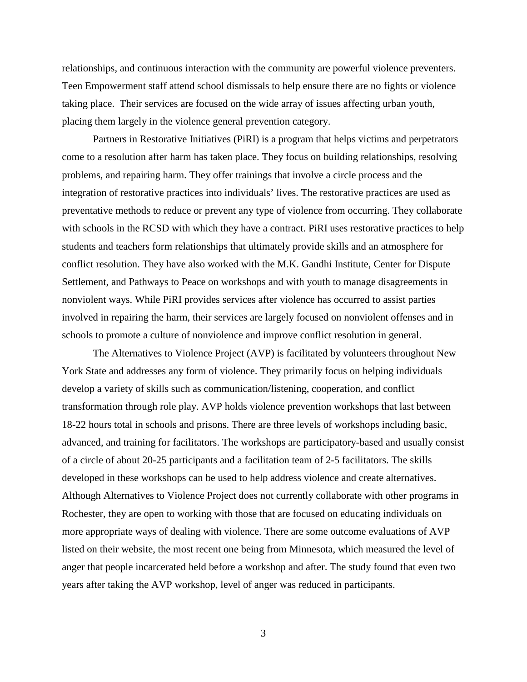relationships, and continuous interaction with the community are powerful violence preventers. Teen Empowerment staff attend school dismissals to help ensure there are no fights or violence taking place. Their services are focused on the wide array of issues affecting urban youth, placing them largely in the violence general prevention category.

Partners in Restorative Initiatives (PiRI) is a program that helps victims and perpetrators come to a resolution after harm has taken place. They focus on building relationships, resolving problems, and repairing harm. They offer trainings that involve a circle process and the integration of restorative practices into individuals' lives. The restorative practices are used as preventative methods to reduce or prevent any type of violence from occurring. They collaborate with schools in the RCSD with which they have a contract. PiRI uses restorative practices to help students and teachers form relationships that ultimately provide skills and an atmosphere for conflict resolution. They have also worked with the M.K. Gandhi Institute, Center for Dispute Settlement, and Pathways to Peace on workshops and with youth to manage disagreements in nonviolent ways. While PiRI provides services after violence has occurred to assist parties involved in repairing the harm, their services are largely focused on nonviolent offenses and in schools to promote a culture of nonviolence and improve conflict resolution in general.

The Alternatives to Violence Project (AVP) is facilitated by volunteers throughout New York State and addresses any form of violence. They primarily focus on helping individuals develop a variety of skills such as communication/listening, cooperation, and conflict transformation through role play. AVP holds violence prevention workshops that last between 18-22 hours total in schools and prisons. There are three levels of workshops including basic, advanced, and training for facilitators. The workshops are participatory-based and usually consist of a circle of about 20-25 participants and a facilitation team of 2-5 facilitators. The skills developed in these workshops can be used to help address violence and create alternatives. Although Alternatives to Violence Project does not currently collaborate with other programs in Rochester, they are open to working with those that are focused on educating individuals on more appropriate ways of dealing with violence. There are some outcome evaluations of AVP listed on their website, the most recent one being from Minnesota, which measured the level of anger that people incarcerated held before a workshop and after. The study found that even two years after taking the AVP workshop, level of anger was reduced in participants.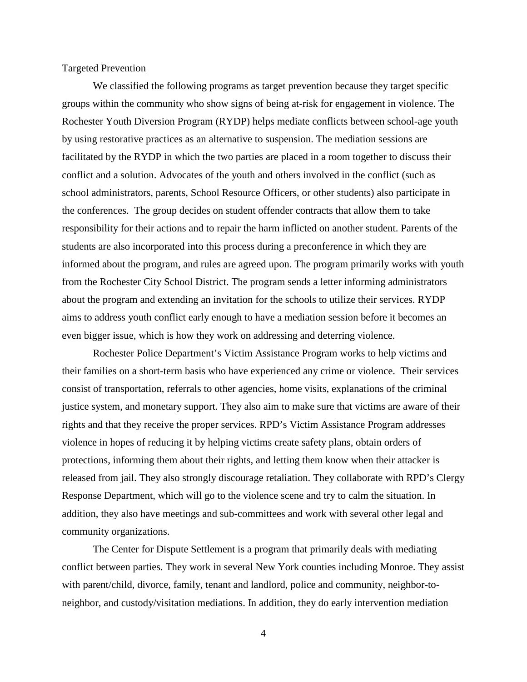## Targeted Prevention

We classified the following programs as target prevention because they target specific groups within the community who show signs of being at-risk for engagement in violence. The Rochester Youth Diversion Program (RYDP) helps mediate conflicts between school-age youth by using restorative practices as an alternative to suspension. The mediation sessions are facilitated by the RYDP in which the two parties are placed in a room together to discuss their conflict and a solution. Advocates of the youth and others involved in the conflict (such as school administrators, parents, School Resource Officers, or other students) also participate in the conferences. The group decides on student offender contracts that allow them to take responsibility for their actions and to repair the harm inflicted on another student. Parents of the students are also incorporated into this process during a preconference in which they are informed about the program, and rules are agreed upon. The program primarily works with youth from the Rochester City School District. The program sends a letter informing administrators about the program and extending an invitation for the schools to utilize their services. RYDP aims to address youth conflict early enough to have a mediation session before it becomes an even bigger issue, which is how they work on addressing and deterring violence.

Rochester Police Department's Victim Assistance Program works to help victims and their families on a short-term basis who have experienced any crime or violence. Their services consist of transportation, referrals to other agencies, home visits, explanations of the criminal justice system, and monetary support. They also aim to make sure that victims are aware of their rights and that they receive the proper services. RPD's Victim Assistance Program addresses violence in hopes of reducing it by helping victims create safety plans, obtain orders of protections, informing them about their rights, and letting them know when their attacker is released from jail. They also strongly discourage retaliation. They collaborate with RPD's Clergy Response Department, which will go to the violence scene and try to calm the situation. In addition, they also have meetings and sub-committees and work with several other legal and community organizations.

The Center for Dispute Settlement is a program that primarily deals with mediating conflict between parties. They work in several New York counties including Monroe. They assist with parent/child, divorce, family, tenant and landlord, police and community, neighbor-toneighbor, and custody/visitation mediations. In addition, they do early intervention mediation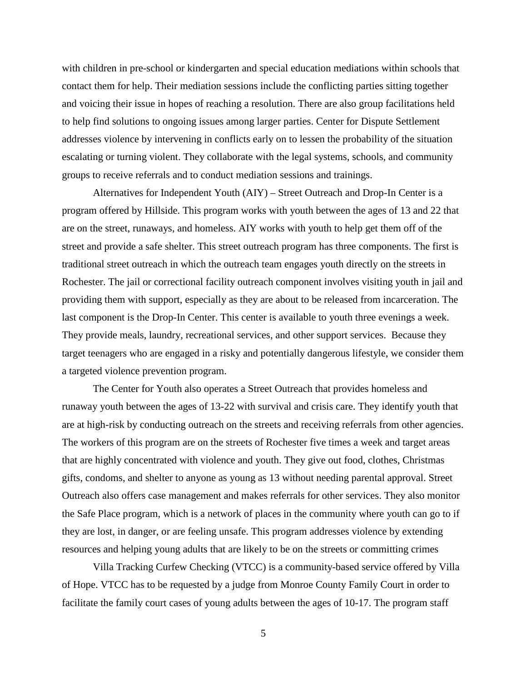with children in pre-school or kindergarten and special education mediations within schools that contact them for help. Their mediation sessions include the conflicting parties sitting together and voicing their issue in hopes of reaching a resolution. There are also group facilitations held to help find solutions to ongoing issues among larger parties. Center for Dispute Settlement addresses violence by intervening in conflicts early on to lessen the probability of the situation escalating or turning violent. They collaborate with the legal systems, schools, and community groups to receive referrals and to conduct mediation sessions and trainings.

Alternatives for Independent Youth (AIY) – Street Outreach and Drop-In Center is a program offered by Hillside. This program works with youth between the ages of 13 and 22 that are on the street, runaways, and homeless. AIY works with youth to help get them off of the street and provide a safe shelter. This street outreach program has three components. The first is traditional street outreach in which the outreach team engages youth directly on the streets in Rochester. The jail or correctional facility outreach component involves visiting youth in jail and providing them with support, especially as they are about to be released from incarceration. The last component is the Drop-In Center. This center is available to youth three evenings a week. They provide meals, laundry, recreational services, and other support services. Because they target teenagers who are engaged in a risky and potentially dangerous lifestyle, we consider them a targeted violence prevention program.

The Center for Youth also operates a Street Outreach that provides homeless and runaway youth between the ages of 13-22 with survival and crisis care. They identify youth that are at high-risk by conducting outreach on the streets and receiving referrals from other agencies. The workers of this program are on the streets of Rochester five times a week and target areas that are highly concentrated with violence and youth. They give out food, clothes, Christmas gifts, condoms, and shelter to anyone as young as 13 without needing parental approval. Street Outreach also offers case management and makes referrals for other services. They also monitor the Safe Place program, which is a network of places in the community where youth can go to if they are lost, in danger, or are feeling unsafe. This program addresses violence by extending resources and helping young adults that are likely to be on the streets or committing crimes

Villa Tracking Curfew Checking (VTCC) is a community-based service offered by Villa of Hope. VTCC has to be requested by a judge from Monroe County Family Court in order to facilitate the family court cases of young adults between the ages of 10-17. The program staff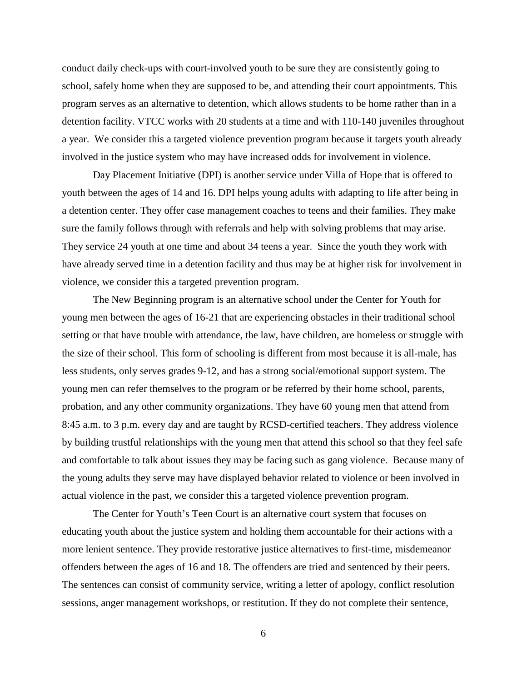conduct daily check-ups with court-involved youth to be sure they are consistently going to school, safely home when they are supposed to be, and attending their court appointments. This program serves as an alternative to detention, which allows students to be home rather than in a detention facility. VTCC works with 20 students at a time and with 110-140 juveniles throughout a year. We consider this a targeted violence prevention program because it targets youth already involved in the justice system who may have increased odds for involvement in violence.

Day Placement Initiative (DPI) is another service under Villa of Hope that is offered to youth between the ages of 14 and 16. DPI helps young adults with adapting to life after being in a detention center. They offer case management coaches to teens and their families. They make sure the family follows through with referrals and help with solving problems that may arise. They service 24 youth at one time and about 34 teens a year. Since the youth they work with have already served time in a detention facility and thus may be at higher risk for involvement in violence, we consider this a targeted prevention program.

The New Beginning program is an alternative school under the Center for Youth for young men between the ages of 16-21 that are experiencing obstacles in their traditional school setting or that have trouble with attendance, the law, have children, are homeless or struggle with the size of their school. This form of schooling is different from most because it is all-male, has less students, only serves grades 9-12, and has a strong social/emotional support system. The young men can refer themselves to the program or be referred by their home school, parents, probation, and any other community organizations. They have 60 young men that attend from 8:45 a.m. to 3 p.m. every day and are taught by RCSD-certified teachers. They address violence by building trustful relationships with the young men that attend this school so that they feel safe and comfortable to talk about issues they may be facing such as gang violence. Because many of the young adults they serve may have displayed behavior related to violence or been involved in actual violence in the past, we consider this a targeted violence prevention program.

The Center for Youth's Teen Court is an alternative court system that focuses on educating youth about the justice system and holding them accountable for their actions with a more lenient sentence. They provide restorative justice alternatives to first-time, misdemeanor offenders between the ages of 16 and 18. The offenders are tried and sentenced by their peers. The sentences can consist of community service, writing a letter of apology, conflict resolution sessions, anger management workshops, or restitution. If they do not complete their sentence,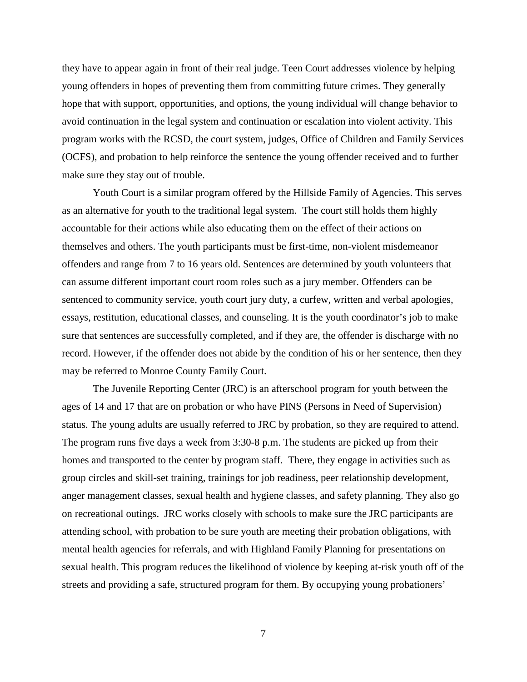they have to appear again in front of their real judge. Teen Court addresses violence by helping young offenders in hopes of preventing them from committing future crimes. They generally hope that with support, opportunities, and options, the young individual will change behavior to avoid continuation in the legal system and continuation or escalation into violent activity. This program works with the RCSD, the court system, judges, Office of Children and Family Services (OCFS), and probation to help reinforce the sentence the young offender received and to further make sure they stay out of trouble.

Youth Court is a similar program offered by the Hillside Family of Agencies. This serves as an alternative for youth to the traditional legal system. The court still holds them highly accountable for their actions while also educating them on the effect of their actions on themselves and others. The youth participants must be first-time, non-violent misdemeanor offenders and range from 7 to 16 years old. Sentences are determined by youth volunteers that can assume different important court room roles such as a jury member. Offenders can be sentenced to community service, youth court jury duty, a curfew, written and verbal apologies, essays, restitution, educational classes, and counseling. It is the youth coordinator's job to make sure that sentences are successfully completed, and if they are, the offender is discharge with no record. However, if the offender does not abide by the condition of his or her sentence, then they may be referred to Monroe County Family Court.

The Juvenile Reporting Center (JRC) is an afterschool program for youth between the ages of 14 and 17 that are on probation or who have PINS (Persons in Need of Supervision) status. The young adults are usually referred to JRC by probation, so they are required to attend. The program runs five days a week from 3:30-8 p.m. The students are picked up from their homes and transported to the center by program staff. There, they engage in activities such as group circles and skill-set training, trainings for job readiness, peer relationship development, anger management classes, sexual health and hygiene classes, and safety planning. They also go on recreational outings. JRC works closely with schools to make sure the JRC participants are attending school, with probation to be sure youth are meeting their probation obligations, with mental health agencies for referrals, and with Highland Family Planning for presentations on sexual health. This program reduces the likelihood of violence by keeping at-risk youth off of the streets and providing a safe, structured program for them. By occupying young probationers'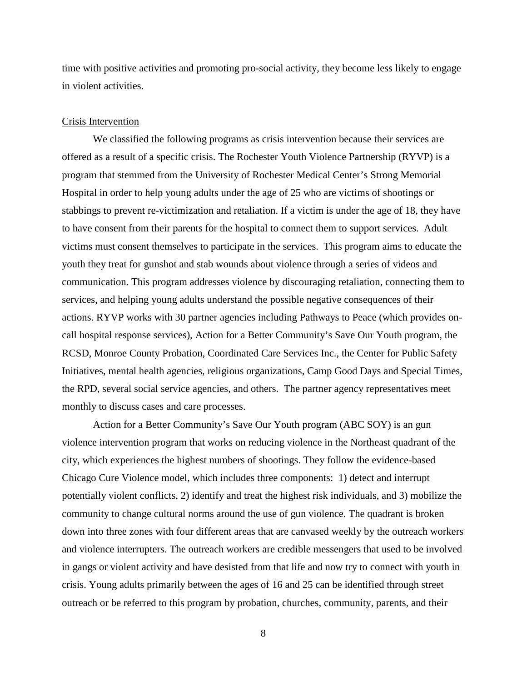time with positive activities and promoting pro-social activity, they become less likely to engage in violent activities.

### Crisis Intervention

We classified the following programs as crisis intervention because their services are offered as a result of a specific crisis. The Rochester Youth Violence Partnership (RYVP) is a program that stemmed from the University of Rochester Medical Center's Strong Memorial Hospital in order to help young adults under the age of 25 who are victims of shootings or stabbings to prevent re-victimization and retaliation. If a victim is under the age of 18, they have to have consent from their parents for the hospital to connect them to support services. Adult victims must consent themselves to participate in the services. This program aims to educate the youth they treat for gunshot and stab wounds about violence through a series of videos and communication. This program addresses violence by discouraging retaliation, connecting them to services, and helping young adults understand the possible negative consequences of their actions. RYVP works with 30 partner agencies including Pathways to Peace (which provides oncall hospital response services), Action for a Better Community's Save Our Youth program, the RCSD, Monroe County Probation, Coordinated Care Services Inc., the Center for Public Safety Initiatives, mental health agencies, religious organizations, Camp Good Days and Special Times, the RPD, several social service agencies, and others. The partner agency representatives meet monthly to discuss cases and care processes.

Action for a Better Community's Save Our Youth program (ABC SOY) is an gun violence intervention program that works on reducing violence in the Northeast quadrant of the city, which experiences the highest numbers of shootings. They follow the evidence-based Chicago Cure Violence model, which includes three components: 1) detect and interrupt potentially violent conflicts, 2) identify and treat the highest risk individuals, and 3) mobilize the community to change cultural norms around the use of gun violence. The quadrant is broken down into three zones with four different areas that are canvased weekly by the outreach workers and violence interrupters. The outreach workers are credible messengers that used to be involved in gangs or violent activity and have desisted from that life and now try to connect with youth in crisis. Young adults primarily between the ages of 16 and 25 can be identified through street outreach or be referred to this program by probation, churches, community, parents, and their